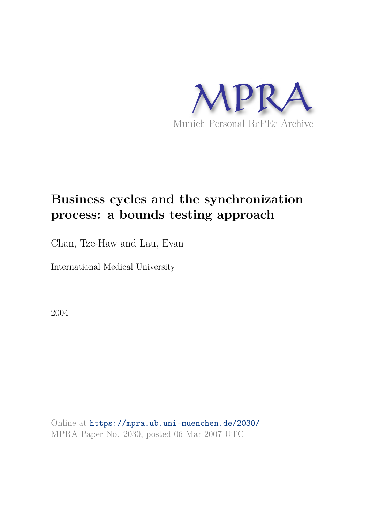

# **Business cycles and the synchronization process: a bounds testing approach**

Chan, Tze-Haw and Lau, Evan

International Medical University

2004

Online at https://mpra.ub.uni-muenchen.de/2030/ MPRA Paper No. 2030, posted 06 Mar 2007 UTC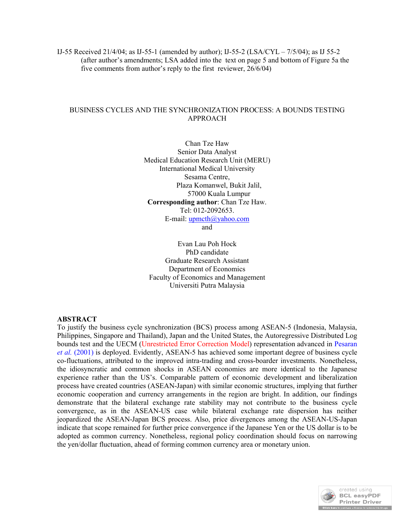IJ-55 Received 21/4/04; as IJ-55-1 (amended by author); IJ-55-2 (LSA/CYL – 7/5/04); as IJ 55-2 (after author's amendments; LSA added into the text on page 5 and bottom of Figure 5a the five comments from author's reply to the first reviewer, 26/6/04)

# BUSINESS CYCLES AND THE SYNCHRONIZATION PROCESS: A BOUNDS TESTING APPROACH

Chan Tze Haw Senior Data Analyst Medical Education Research Unit (MERU) International Medical University Sesama Centre, Plaza Komanwel, Bukit Jalil, 57000 Kuala Lumpur **Corresponding author**: Chan Tze Haw. Tel: 012-2092653. E-mail: upmcth@yahoo.com and

Evan Lau Poh Hock PhD candidate Graduate Research Assistant Department of Economics Faculty of Economics and Management Universiti Putra Malaysia

#### **ABSTRACT**

To justify the business cycle synchronization (BCS) process among ASEAN-5 (Indonesia, Malaysia, Philippines, Singapore and Thailand), Japan and the United States, the Autoregressive Distributed Log bounds test and the UECM (Unrestricted Error Correction Model) representation advanced in Pesaran *et al.* (2001) is deployed. Evidently, ASEAN-5 has achieved some important degree of business cycle co-fluctuations, attributed to the improved intra-trading and cross-boarder investments. Nonetheless, the idiosyncratic and common shocks in ASEAN economies are more identical to the Japanese experience rather than the US's. Comparable pattern of economic development and liberalization process have created countries (ASEAN-Japan) with similar economic structures, implying that further economic cooperation and currency arrangements in the region are bright. In addition, our findings demonstrate that the bilateral exchange rate stability may not contribute to the business cycle convergence, as in the ASEAN-US case while bilateral exchange rate dispersion has neither jeopardized the ASEAN-Japan BCS process. Also, price divergences among the ASEAN-US-Japan indicate that scope remained for further price convergence if the Japanese Yen or the US dollar is to be adopted as common currency. Nonetheless, regional policy coordination should focus on narrowing the yen/dollar fluctuation, ahead of forming common currency area or monetary union.

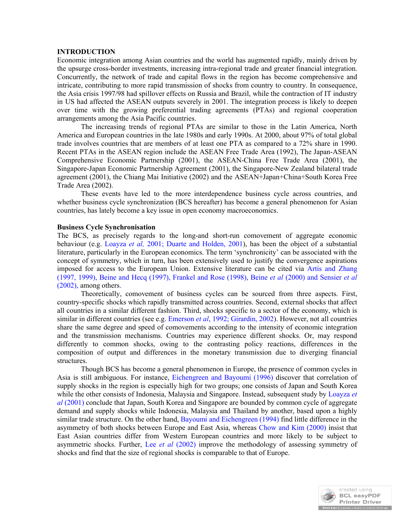#### **INTRODUCTION**

Economic integration among Asian countries and the world has augmented rapidly, mainly driven by the upsurge cross-border investments, increasing intra-regional trade and greater financial integration. Concurrently, the network of trade and capital flows in the region has become comprehensive and intricate, contributing to more rapid transmission of shocks from country to country. In consequence, the Asia crisis 1997/98 had spillover effects on Russia and Brazil, while the contraction of IT industry in US had affected the ASEAN outputs severely in 2001. The integration process is likely to deepen over time with the growing preferential trading agreements (PTAs) and regional cooperation arrangements among the Asia Pacific countries.

The increasing trends of regional PTAs are similar to those in the Latin America, North America and European countries in the late 1980s and early 1990s. At 2000, about 97% of total global trade involves countries that are members of at least one PTA as compared to a 72% share in 1990. Recent PTAs in the ASEAN region include the ASEAN Free Trade Area (1992), The Japan-ASEAN Comprehensive Economic Partnership (2001), the ASEAN-China Free Trade Area (2001), the Singapore-Japan Economic Partnership Agreement (2001), the Singapore-New Zealand bilateral trade agreement (2001), the Chiang Mai Initiative (2002) and the ASEAN+Japan+China+South Korea Free Trade Area (2002).

These events have led to the more interdependence business cycle across countries, and whether business cycle synchronization (BCS hereafter) has become a general phenomenon for Asian countries, has lately become a key issue in open economy macroeconomics.

#### **Business Cycle Synchronisation**

The BCS, as precisely regards to the long-and short-run comovement of aggregate economic behaviour (e.g. Loayza *et al,* 2001; Duarte and Holden, 2001), has been the object of a substantial literature, particularly in the European economics. The term 'synchronicity' can be associated with the concept of symmetry, which in turn, has been extensively used to justify the convergence aspirations imposed for access to the European Union. Extensive literature can be cited via Artis and Zhang (1997, 1999), Beine and Hecq (1997), Frankel and Rose (1998), Beine *et al* (2000) and Sensier *et al* (2002), among others.

Theoretically, comovement of business cycles can be sourced from three aspects. First, country-specific shocks which rapidly transmitted across countries. Second, external shocks that affect all countries in a similar different fashion. Third, shocks specific to a sector of the economy, which is similar in different countries (see e.g. Emerson *et al*, 1992; Girardin, 2002). However, not all countries share the same degree and speed of comovements according to the intensity of economic integration and the transmission mechanisms. Countries may experience different shocks. Or, may respond differently to common shocks, owing to the contrasting policy reactions, differences in the composition of output and differences in the monetary transmission due to diverging financial structures.

Though BCS has become a general phenomenon in Europe, the presence of common cycles in Asia is still ambiguous. For instance, Eichengreen and Bayoumi (1996) discover that correlation of supply shocks in the region is especially high for two groups; one consists of Japan and South Korea while the other consists of Indonesia, Malaysia and Singapore. Instead, subsequent study by Loayza *et al* (2001) conclude that Japan, South Korea and Singapore are bounded by common cycle of aggregate demand and supply shocks while Indonesia, Malaysia and Thailand by another, based upon a highly similar trade structure. On the other hand, Bayoumi and Eichengreen (1994) find little difference in the asymmetry of both shocks between Europe and East Asia, whereas Chow and Kim (2000) insist that East Asian countries differ from Western European countries and more likely to be subject to asymmetric shocks. Further, Lee *et al* (2002) improve the methodology of assessing symmetry of shocks and find that the size of regional shocks is comparable to that of Europe.

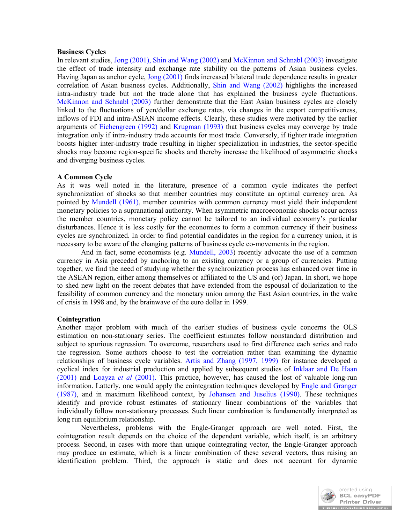#### **Business Cycles**

In relevant studies, Jong (2001), Shin and Wang (2002) and McKinnon and Schnabl (2003) investigate the effect of trade intensity and exchange rate stability on the patterns of Asian business cycles. Having Japan as anchor cycle, Jong (2001) finds increased bilateral trade dependence results in greater correlation of Asian business cycles. Additionally, Shin and Wang (2002) highlights the increased intra-industry trade but not the trade alone that has explained the business cycle fluctuations. McKinnon and Schnabl (2003) further demonstrate that the East Asian business cycles are closely linked to the fluctuations of yen/dollar exchange rates, via changes in the export competitiveness, inflows of FDI and intra-ASIAN income effects. Clearly, these studies were motivated by the earlier arguments of Eichengreen (1992) and Krugman (1993) that business cycles may converge by trade integration only if intra-industry trade accounts for most trade. Conversely, if tighter trade integration boosts higher inter-industry trade resulting in higher specialization in industries, the sector-specific shocks may become region-specific shocks and thereby increase the likelihood of asymmetric shocks and diverging business cycles.

#### **A Common Cycle**

As it was well noted in the literature, presence of a common cycle indicates the perfect synchronization of shocks so that member countries may constitute an optimal currency area. As pointed by Mundell (1961), member countries with common currency must yield their independent monetary policies to a supranational authority. When asymmetric macroeconomic shocks occur across the member countries, monetary policy cannot be tailored to an individual economy's particular disturbances. Hence it is less costly for the economies to form a common currency if their business cycles are synchronized. In order to find potential candidates in the region for a currency union, it is necessary to be aware of the changing patterns of business cycle co-movements in the region.

And in fact, some economists (e.g. Mundell, 2003) recently advocate the use of a common currency in Asia preceded by anchoring to an existing currency or a group of currencies. Putting together, we find the need of studying whether the synchronization process has enhanced over time in the ASEAN region, either among themselves or affiliated to the US and (or) Japan. In short, we hope to shed new light on the recent debates that have extended from the espousal of dollarization to the feasibility of common currency and the monetary union among the East Asian countries, in the wake of crisis in 1998 and, by the brainwave of the euro dollar in 1999.

#### **Cointegration**

Another major problem with much of the earlier studies of business cycle concerns the OLS estimation on non-stationary series. The coefficient estimates follow nonstandard distribution and subject to spurious regression. To overcome, researchers used to first difference each series and redo the regression. Some authors choose to test the correlation rather than examining the dynamic relationships of business cycle variables. Artis and Zhang (1997, 1999) for instance developed a cyclical index for industrial production and applied by subsequent studies of Inklaar and De Haan (2001) and Loayza *et al* (2001). This practice, however, has caused the lost of valuable long-run information. Latterly, one would apply the cointegration techniques developed by Engle and Granger (1987), and in maximum likelihood context, by Johansen and Juselius (1990). These techniques identify and provide robust estimates of stationary linear combinations of the variables that individually follow non-stationary processes. Such linear combination is fundamentally interpreted as long run equilibrium relationship.

Nevertheless, problems with the Engle-Granger approach are well noted. First, the cointegration result depends on the choice of the dependent variable, which itself, is an arbitrary process. Second, in cases with more than unique cointegrating vector, the Engle-Granger approach may produce an estimate, which is a linear combination of these several vectors, thus raising an identification problem. Third, the approach is static and does not account for dynamic

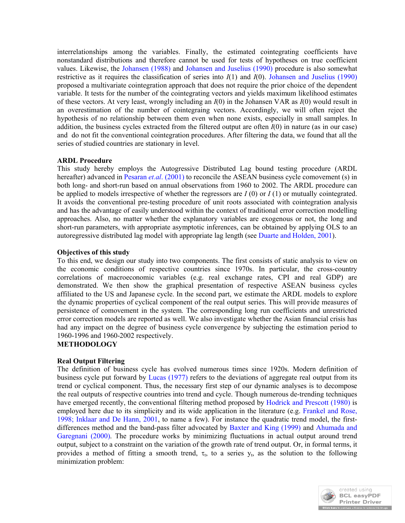interrelationships among the variables. Finally, the estimated cointegrating coefficients have nonstandard distributions and therefore cannot be used for tests of hypotheses on true coefficient values. Likewise, the Johansen (1988) and Johansen and Juselius (1990) procedure is also somewhat restrictive as it requires the classification of series into *I*(1) and *I*(0). Johansen and Juselius (1990) proposed a multivariate cointegration approach that does not require the prior choice of the dependent variable. It tests for the number of the cointegrating vectors and yields maximum likelihood estimates of these vectors. At very least, wrongly including an *I*(0) in the Johansen VAR as *I*(0) would result in an overestimation of the number of cointegraing vectors. Accordingly, we will often reject the hypothesis of no relationship between them even when none exists, especially in small samples. In addition, the business cycles extracted from the filtered output are often *I*(0) in nature (as in our case) and do not fit the conventional cointegration procedures. After filtering the data, we found that all the series of studied countries are stationary in level.

# **ARDL Procedure**

This study hereby employs the Autogressive Distributed Lag bound testing procedure (ARDL hereafter) advanced in Pesaran *et.al.* (2001) to reconcile the ASEAN business cycle comovement (s) in both long- and short-run based on annual observations from 1960 to 2002. The ARDL procedure can be applied to models irrespective of whether the regressors are *I* (0) or *I* (1) or mutually cointegrated. It avoids the conventional pre-testing procedure of unit roots associated with cointegration analysis and has the advantage of easily understood within the context of traditional error correction modelling approaches. Also, no matter whether the explanatory variables are exogenous or not, the long and short-run parameters, with appropriate asymptotic inferences, can be obtained by applying OLS to an autoregressive distributed lag model with appropriate lag length (see Duarte and Holden, 2001).

# **Objectives of this study**

To this end, we design our study into two components. The first consists of static analysis to view on the economic conditions of respective countries since 1970s. In particular, the cross-country correlations of macroeconomic variables (e.g. real exchange rates, CPI and real GDP) are demonstrated. We then show the graphical presentation of respective ASEAN business cycles affiliated to the US and Japanese cycle. In the second part, we estimate the ARDL models to explore the dynamic properties of cyclical component of the real output series. This will provide measures of persistence of comovement in the system. The corresponding long run coefficients and unrestricted error correction models are reported as well. We also investigate whether the Asian financial crisis has had any impact on the degree of business cycle convergence by subjecting the estimation period to 1960-1996 and 1960-2002 respectively.

# **METHODOLOGY**

# **Real Output Filtering**

The definition of business cycle has evolved numerous times since 1920s. Modern definition of business cycle put forward by Lucas (1977) refers to the deviations of aggregate real output from its trend or cyclical component. Thus, the necessary first step of our dynamic analyses is to decompose the real outputs of respective countries into trend and cycle. Though numerous de-trending techniques have emerged recently, the conventional filtering method proposed by Hodrick and Prescott (1980) is employed here due to its simplicity and its wide application in the literature (e.g. Frankel and Rose, 1998; Inklaar and De Hann, 2001, to name a few). For instance the quadratic trend model, the firstdifferences method and the band-pass filter advocated by Baxter and King (1999) and Ahumada and Garegnani (2000). The procedure works by minimizing fluctuations in actual output around trend output, subject to a constraint on the variation of the growth rate of trend output. Or, in formal terms, it provides a method of fitting a smooth trend,  $\tau_t$ , to a series  $y_t$ , as the solution to the following minimization problem:

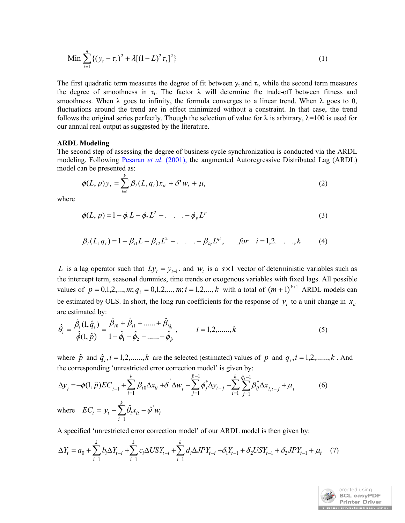Min 
$$
\sum_{t=1}^{n} \left\{ (y_t - \tau_t)^2 + \lambda [(1 - L)^2 \tau_t]^2 \right\}
$$
 (1)

The first quadratic term measures the degree of fit between  $y_t$  and  $\tau_t$ , while the second term measures the degree of smoothness in  $\tau_t$ . The factor  $\lambda$  will determine the trade-off between fitness and smoothness. When  $\lambda$  goes to infinity, the formula converges to a linear trend. When  $\lambda$  goes to 0, fluctuations around the trend are in effect minimized without a constraint. In that case, the trend follows the original series perfectly. Though the selection of value for  $\lambda$  is arbitrary,  $\lambda$ =100 is used for our annual real output as suggested by the literature.

#### **ARDL Modeling**

The second step of assessing the degree of business cycle synchronization is conducted via the ARDL modeling. Following Pesaran *et al*. (2001), the augmented Autoregressive Distributed Lag (ARDL) model can be presented as:

$$
\phi(L, p)y_t = \sum_{i=1}^k \beta_i(L, q_i)x_{it} + \delta' w_t + \mu_t
$$
\n(2)

where

$$
\phi(L, p) = 1 - \phi_1 L - \phi_2 L^2 - \dots - \phi_p L^p \tag{3}
$$

$$
\beta_i(L, q_i) = 1 - \beta_{i1}L - \beta_{i2}L^2 - \dots - \beta_{iq}L^{qi}, \quad \text{for} \quad i = 1, 2, \dots, k \tag{4}
$$

*L* is a lag operator such that  $Ly_t = y_{t-1}$ , and  $w_t$  is a  $s \times 1$  vector of deterministic variables such as the intercept term, seasonal dummies, time trends or exogenous variables with fixed lags. All possible values of  $p = 0,1,2,..., m; q_i = 0,1,2,..., m; i = 1,2,..., k$  with a total of  $(m + 1)^{k+1}$  ARDL models can be estimated by OLS. In short, the long run coefficients for the response of  $y_t$  to a unit change in  $x_{it}$ are estimated by:

$$
\hat{\theta}_{i} = \frac{\hat{\beta}_{i}(1,\hat{q}_{i})}{\hat{\phi}(1,\hat{p})} = \frac{\hat{\beta}_{i0} + \hat{\beta}_{i1} + \dots + \hat{\beta}_{i\hat{q}_{i}}}{1 - \hat{\phi}_{1} - \hat{\phi}_{2} - \dots - \hat{\phi}_{\hat{p}}}, \qquad i = 1,2,\dots, k
$$
\n(5)

where  $\hat{p}$  and  $\hat{q}_i$ ,  $i = 1, 2, \dots, k$  are the selected (estimated) values of  $p$  and  $q_i$ ,  $i = 1, 2, \dots, k$ . And the corresponding 'unrestricted error correction model' is given by:

$$
\Delta y_{t} = -\phi(1, \hat{p})EC_{t-1} + \sum_{i=1}^{k} \beta_{i0} \Delta x_{it} + \delta^{2} \Delta w_{t} - \sum_{j=1}^{\hat{p}-1} \phi_{j}^{*} \Delta y_{t-j} - \sum_{i=1}^{k} \sum_{j=1}^{\hat{q}_{i}-1} \beta_{ij}^{*} \Delta x_{i,t-j} + \mu_{t}
$$
\n
$$
\text{where} \quad EC_{t} = y_{t} - \sum_{i=1}^{k} \hat{\theta}_{i} x_{it} - \hat{\psi}^{2} w_{t}
$$
\n
$$
(6)
$$

A specified 'unrestricted error correction model' of our ARDL model is then given by:

$$
\Delta Y_t = a_0 + \sum_{i=1}^k b_i \Delta Y_{t-i} + \sum_{i=1}^k c_i \Delta U S Y_{t-i} + \sum_{i=1}^k d_i \Delta J P Y_{t-i} + \delta_1 Y_{t-1} + \delta_2 U S Y_{t-1} + \delta_3 J P Y_{t-1} + \mu_t \tag{7}
$$

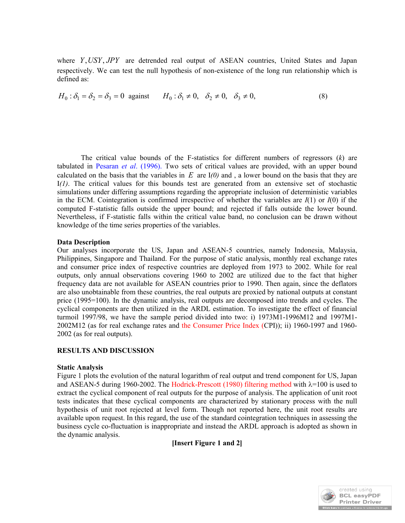where *Y*,*USY*, *JPY* are detrended real output of ASEAN countries, United States and Japan respectively. We can test the null hypothesis of non-existence of the long run relationship which is defined as:

$$
H_0: \delta_1 = \delta_2 = \delta_3 = 0 \text{ against } H_0: \delta_1 \neq 0, \delta_2 \neq 0, \delta_3 \neq 0,
$$
 (8)

The critical value bounds of the F-statistics for different numbers of regressors (*k*) are tabulated in Pesaran *et al*. (1996). Two sets of critical values are provided, with an upper bound calculated on the basis that the variables in *E* are I*(0)* and , a lower bound on the basis that they are I*(1)*. The critical values for this bounds test are generated from an extensive set of stochastic simulations under differing assumptions regarding the appropriate inclusion of deterministic variables in the ECM. Cointegration is confirmed irrespective of whether the variables are *I*(1) or *I*(0) if the computed F-statistic falls outside the upper bound; and rejected if falls outside the lower bound. Nevertheless, if F-statistic falls within the critical value band, no conclusion can be drawn without knowledge of the time series properties of the variables.

#### **Data Description**

Our analyses incorporate the US, Japan and ASEAN-5 countries, namely Indonesia, Malaysia, Philippines, Singapore and Thailand. For the purpose of static analysis, monthly real exchange rates and consumer price index of respective countries are deployed from 1973 to 2002. While for real outputs, only annual observations covering 1960 to 2002 are utilized due to the fact that higher frequency data are not available for ASEAN countries prior to 1990. Then again, since the deflators are also unobtainable from these countries, the real outputs are proxied by national outputs at constant price (1995=100). In the dynamic analysis, real outputs are decomposed into trends and cycles. The cyclical components are then utilized in the ARDL estimation. To investigate the effect of financial turmoil 1997/98, we have the sample period divided into two: i) 1973M1-1996M12 and 1997M1- 2002M12 (as for real exchange rates and the Consumer Price Index (CPI)); ii) 1960-1997 and 1960- 2002 (as for real outputs).

#### **RESULTS AND DISCUSSION**

#### **Static Analysis**

Figure 1 plots the evolution of the natural logarithm of real output and trend component for US, Japan and ASEAN-5 during 1960-2002. The Hodrick-Prescott (1980) filtering method with  $\lambda$ =100 is used to extract the cyclical component of real outputs for the purpose of analysis. The application of unit root tests indicates that these cyclical components are characterized by stationary process with the null hypothesis of unit root rejected at level form. Though not reported here, the unit root results are available upon request. In this regard, the use of the standard cointegration techniques in assessing the business cycle co-fluctuation is inappropriate and instead the ARDL approach is adopted as shown in the dynamic analysis.

**[Insert Figure 1 and 2]**

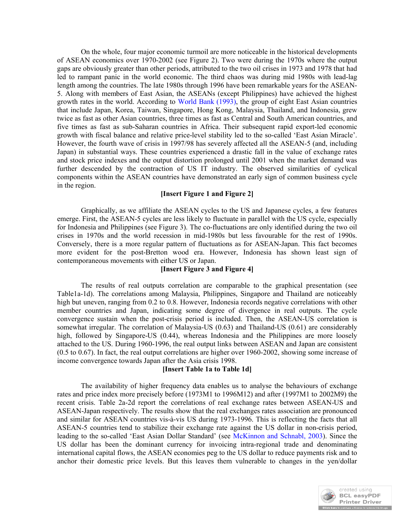On the whole, four major economic turmoil are more noticeable in the historical developments of ASEAN economics over 1970-2002 (see Figure 2). Two were during the 1970s where the output gaps are obviously greater than other periods, attributed to the two oil crises in 1973 and 1978 that had led to rampant panic in the world economic. The third chaos was during mid 1980s with lead-lag length among the countries. The late 1980s through 1996 have been remarkable years for the ASEAN-5. Along with members of East Asian, the ASEANs (except Philippines) have achieved the highest growth rates in the world. According to World Bank (1993), the group of eight East Asian countries that include Japan, Korea, Taiwan, Singapore, Hong Kong, Malaysia, Thailand, and Indonesia, grew twice as fast as other Asian countries, three times as fast as Central and South American countries, and five times as fast as sub-Saharan countries in Africa. Their subsequent rapid export-led economic growth with fiscal balance and relative price-level stability led to the so-called 'East Asian Miracle'. However, the fourth wave of crisis in 1997/98 has severely affected all the ASEAN-5 (and, including Japan) in substantial ways. These countries experienced a drastic fall in the value of exchange rates and stock price indexes and the output distortion prolonged until 2001 when the market demand was further descended by the contraction of US IT industry. The observed similarities of cyclical components within the ASEAN countries have demonstrated an early sign of common business cycle in the region.

### **[Insert Figure 1 and Figure 2]**

Graphically, as we affiliate the ASEAN cycles to the US and Japanese cycles, a few features emerge. First, the ASEAN-5 cycles are less likely to fluctuate in parallel with the US cycle, especially for Indonesia and Philippines (see Figure 3). The co-fluctuations are only identified during the two oil crises in 1970s and the world recession in mid-1980s but less favourable for the rest of 1990s. Conversely, there is a more regular pattern of fluctuations as for ASEAN-Japan. This fact becomes more evident for the post-Bretton wood era. However, Indonesia has shown least sign of contemporaneous movements with either US or Japan.

# **[Insert Figure 3 and Figure 4]**

The results of real outputs correlation are comparable to the graphical presentation (see Table1a-1d). The correlations among Malaysia, Philippines, Singapore and Thailand are noticeably high but uneven, ranging from 0.2 to 0.8. However, Indonesia records negative correlations with other member countries and Japan, indicating some degree of divergence in real outputs. The cycle convergence sustain when the post-crisis period is included. Then, the ASEAN-US correlation is somewhat irregular. The correlation of Malaysia-US (0.63) and Thailand-US (0.61) are considerably high, followed by Singapore-US (0.44), whereas Indonesia and the Philippines are more loosely attached to the US. During 1960-1996, the real output links between ASEAN and Japan are consistent (0.5 to 0.67). In fact, the real output correlations are higher over 1960-2002, showing some increase of income convergence towards Japan after the Asia crisis 1998.

#### **[Insert Table 1a to Table 1d]**

The availability of higher frequency data enables us to analyse the behaviours of exchange rates and price index more precisely before (1973M1 to 1996M12) and after (1997M1 to 2002M9) the recent crisis. Table 2a-2d report the correlations of real exchange rates between ASEAN-US and ASEAN-Japan respectively. The results show that the real exchanges rates association are pronounced and similar for ASEAN countries vis-à-vis US during 1973-1996. This is reflecting the facts that all ASEAN-5 countries tend to stabilize their exchange rate against the US dollar in non-crisis period, leading to the so-called 'East Asian Dollar Standard' (see McKinnon and Schnabl, 2003). Since the US dollar has been the dominant currency for invoicing intra-regional trade and denominating international capital flows, the ASEAN economies peg to the US dollar to reduce payments risk and to anchor their domestic price levels. But this leaves them vulnerable to changes in the yen/dollar

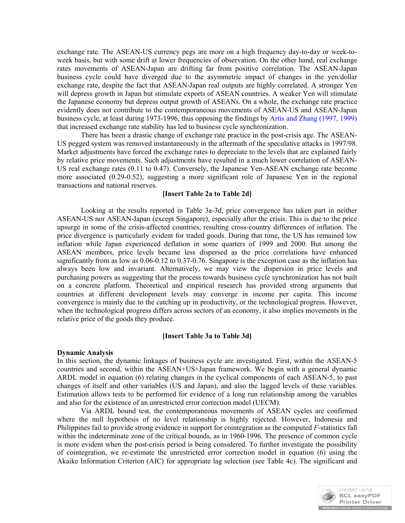exchange rate. The ASEAN-US currency pegs are more on a high frequency day-to-day or week-toweek basis, but with some drift at lower frequencies of observation. On the other hand, real exchange rates movements of ASEAN-Japan are drifting far from positive correlation. The ASEAN-Japan business cycle could have diverged due to the asymmetric impact of changes in the yen/dollar exchange rate, despite the fact that ASEAN-Japan real outputs are highly correlated. A stronger Yen will depress growth in Japan but stimulate exports of ASEAN countries. A weaker Yen will stimulate the Japanese economy but depress output growth of ASEANs. On a whole, the exchange rate practice evidently does not contribute to the contemporaneous movements of ASEAN-US and ASEAN-Japan business cycle, at least during 1973-1996, thus opposing the findings by Artis and Zhang (1997, 1999) that increased exchange rate stability has led to business cycle synchronization.

There has been a drastic change of exchange rate practice in the post-crisis age. The ASEAN-US pegged system was removed instantaneously in the aftermath of the speculative attacks in 1997/98. Market adjustments have forced the exchange rates to depreciate to the levels that are explained fairly by relative price movements. Such adjustments have resulted in a much lower correlation of ASEAN-US real exchange rates (0.11 to 0.47). Conversely, the Japanese Yen-ASEAN exchange rate become more associated (0.29-0.52), suggesting a more significant role of Japanese Yen in the regional transactions and national reserves.

#### **[Insert Table 2a to Table 2d]**

Looking at the results reported in Table 3a-3d, price convergence has taken part in neither ASEAN-US nor ASEAN-Japan (except Singapore), especially after the crisis. This is due to the price upsurge in some of the crisis-affected countries, resulting cross-country differences of inflation. The price divergence is particularly evident for traded goods. During that time, the US has remained low inflation while Japan experienced deflation in some quarters of 1999 and 2000. But among the ASEAN members, price levels became less dispersed as the price correlations have enhanced significantly from as low as 0.06-0.12 to 0.37-0.76. Singapore is the exception case as the inflation has always been low and invariant. Alternatively, we may view the dispersion in price levels and purchasing powers as suggesting that the process towards business cycle synchronization has not built on a concrete platform. Theoretical and empirical research has provided strong arguments that countries at different development levels may converge in income per capita. This income convergence is mainly due to the catching up in productivity, or the technological progress. However, when the technological progress differs across sectors of an economy, it also implies movements in the relative price of the goods they produce.

#### **[Insert Table 3a to Table 3d]**

#### **Dynamic Analysis**

In this section, the dynamic linkages of business cycle are investigated. First, within the ASEAN-5 countries and second, within the ASEAN+US+Japan framework. We begin with a general dynamic ARDL model in equation (6) relating changes in the cyclical components of each ASEAN-5, to past changes of itself and other variables (US and Japan), and also the lagged levels of these variables. Estimation allows tests to be performed for evidence of a long run relationship among the variables and also for the existence of an unrestricted error correction model (UECM).

Via ARDL bound test, the contemporaneous movements of ASEAN cycles are confirmed where the null hypothesis of no level relationship is highly rejected. However, Indonesia and Philippines fail to provide strong evidence in support for cointegration as the computed *F*-statistics fall within the indeterminate zone of the critical bounds, as in 1960-1996. The presence of common cycle is more evident when the post-crisis period is being considered. To further investigate the possibility of cointegration, we re-estimate the unrestricted error correction model in equation (6) using the Akaike Information Criterion (AIC) for appropriate lag selection (see Table 4c). The significant and

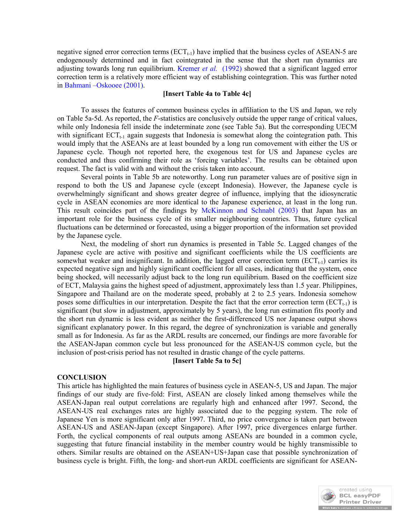negative signed error correction terms  $(ECT<sub>t-1</sub>)$  have implied that the business cycles of ASEAN-5 are endogenously determined and in fact cointegrated in the sense that the short run dynamics are adjusting towards long run equilibrium. Kremer *et al.* (1992) showed that a significant lagged error correction term is a relatively more efficient way of establishing cointegration. This was further noted in Bahmani –Oskooee (2001).

### **[Insert Table 4a to Table 4c]**

To assses the features of common business cycles in affiliation to the US and Japan, we rely on Table 5a-5d. As reported, the *F*-statistics are conclusively outside the upper range of critical values, while only Indonesia fell inside the indeterminate zone (see Table 5a). But the corresponding UECM with significant  $ECT_{t-1}$  again suggests that Indonesia is somewhat along the cointegration path. This would imply that the ASEANs are at least bounded by a long run comovement with either the US or Japanese cycle. Though not reported here, the exogenous test for US and Japanese cycles are conducted and thus confirming their role as 'forcing variables'. The results can be obtained upon request. The fact is valid with and without the crisis taken into account.

Several points in Table 5b are noteworthy. Long run parameter values are of positive sign in respond to both the US and Japanese cycle (except Indonesia). However, the Japanese cycle is overwhelmingly significant and shows greater degree of influence, implying that the idiosyncratic cycle in ASEAN economies are more identical to the Japanese experience, at least in the long run. This result coincides part of the findings by McKinnon and Schnabl (2003) that Japan has an important role for the business cycle of its smaller neighbouring countries. Thus, future cyclical fluctuations can be determined or forecasted, using a bigger proportion of the information set provided by the Japanese cycle.

Next, the modeling of short run dynamics is presented in Table 5c. Lagged changes of the Japanese cycle are active with positive and significant coefficients while the US coefficients are somewhat weaker and insignificant. In addition, the lagged error correction term  $(ECT<sub>t-1</sub>)$  carries its expected negative sign and highly significant coefficient for all cases, indicating that the system, once being shocked, will necessarily adjust back to the long run equilibrium. Based on the coefficient size of ECT, Malaysia gains the highest speed of adjustment, approximately less than 1.5 year. Philippines, Singapore and Thailand are on the moderate speed, probably at 2 to 2.5 years. Indonesia somehow poses some difficulties in our interpretation. Despite the fact that the error correction term ( $ECT_{t-1}$ ) is significant (but slow in adjustment, approximately by 5 years), the long run estimation fits poorly and the short run dynamic is less evident as neither the first-differenced US nor Japanese output shows significant explanatory power. In this regard, the degree of synchronization is variable and generally small as for Indonesia. As far as the ARDL results are concerned, our findings are more favorable for the ASEAN-Japan common cycle but less pronounced for the ASEAN-US common cycle, but the inclusion of post-crisis period has not resulted in drastic change of the cycle patterns.

#### **[Insert Table 5a to 5c]**

# **CONCLUSION**

This article has highlighted the main features of business cycle in ASEAN-5, US and Japan. The major findings of our study are five-fold: First, ASEAN are closely linked among themselves while the ASEAN-Japan real output correlations are regularly high and enhanced after 1997. Second, the ASEAN-US real exchanges rates are highly associated due to the pegging system. The role of Japanese Yen is more significant only after 1997. Third, no price convergence is taken part between ASEAN-US and ASEAN-Japan (except Singapore). After 1997, price divergences enlarge further. Forth, the cyclical components of real outputs among ASEANs are bounded in a common cycle, suggesting that future financial instability in the member country would be highly transmissible to others. Similar results are obtained on the ASEAN+US+Japan case that possible synchronization of business cycle is bright. Fifth, the long- and short-run ARDL coefficients are significant for ASEAN-

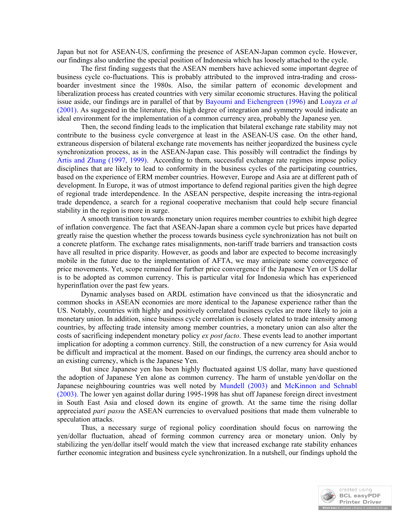Japan but not for ASEAN-US, confirming the presence of ASEAN-Japan common cycle. However, our findings also underline the special position of Indonesia which has loosely attached to the cycle.

The first finding suggests that the ASEAN members have achieved some important degree of business cycle co-fluctuations. This is probably attributed to the improved intra-trading and crossboarder investment since the 1980s. Also, the similar pattern of economic development and liberalization process has created countries with very similar economic structures. Having the political issue aside, our findings are in parallel of that by Bayoumi and Eichengreen (1996) and Loayza *et al* (2001). As suggested in the literature, this high degree of integration and symmetry would indicate an ideal environment for the implementation of a common currency area, probably the Japanese yen.

Then, the second finding leads to the implication that bilateral exchange rate stability may not contribute to the business cycle convergence at least in the ASEAN-US case. On the other hand, extraneous dispersion of bilateral exchange rate movements has neither jeopardized the business cycle synchronization process, as in the ASEAN-Japan case. This possibly will contradict the findings by Artis and Zhang (1997, 1999). According to them, successful exchange rate regimes impose policy disciplines that are likely to lead to conformity in the business cycles of the participating countries, based on the experience of ERM member countries. However, Europe and Asia are at different path of development. In Europe, it was of utmost importance to defend regional parities given the high degree of regional trade interdependence. In the ASEAN perspective, despite increasing the intra-regional trade dependence, a search for a regional cooperative mechanism that could help secure financial stability in the region is more in surge.

A smooth transition towards monetary union requires member countries to exhibit high degree of inflation convergence. The fact that ASEAN-Japan share a common cycle but prices have departed greatly raise the question whether the process towards business cycle synchronization has not built on a concrete platform. The exchange rates misalignments, non-tariff trade barriers and transaction costs have all resulted in price disparity. However, as goods and labor are expected to become increasingly mobile in the future due to the implementation of AFTA, we may anticipate some convergence of price movements. Yet, scope remained for further price convergence if the Japanese Yen or US dollar is to be adopted as common currency. This is particular vital for Indonesia which has experienced hyperinflation over the past few years.

Dynamic analyses based on ARDL estimation have convinced us that the idiosyncratic and common shocks in ASEAN economies are more identical to the Japanese experience rather than the US. Notably, countries with highly and positively correlated business cycles are more likely to join a monetary union. In addition, since business cycle correlation is closely related to trade intensity among countries, by affecting trade intensity among member countries, a monetary union can also alter the costs of sacrificing independent monetary policy *ex post facto*. These events lead to another important implication for adopting a common currency. Still, the construction of a new currency for Asia would be difficult and impractical at the moment. Based on our findings, the currency area should anchor to an existing currency, which is the Japanese Yen.

But since Japanese yen has been highly fluctuated against US dollar, many have questioned the adoption of Japanese Yen alone as common currency. The harm of unstable yen/dollar on the Japanese neighbouring countries was well noted by Mundell (2003) and McKinnon and Schnabl (2003). The lower yen against dollar during 1995-1998 has shut off Japanese foreign direct investment in South East Asia and closed down its engine of growth. At the same time the rising dollar appreciated *pari passu* the ASEAN currencies to overvalued positions that made them vulnerable to speculation attacks.

Thus, a necessary surge of regional policy coordination should focus on narrowing the yen/dollar fluctuation, ahead of forming common currency area or monetary union. Only by stabilizing the yen/dollar itself would match the view that increased exchange rate stability enhances further economic integration and business cycle synchronization. In a nutshell, our findings uphold the

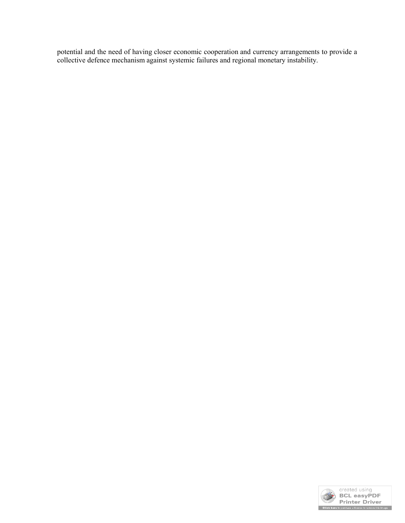potential and the need of having closer economic cooperation and currency arrangements to provide a collective defence mechanism against systemic failures and regional monetary instability.

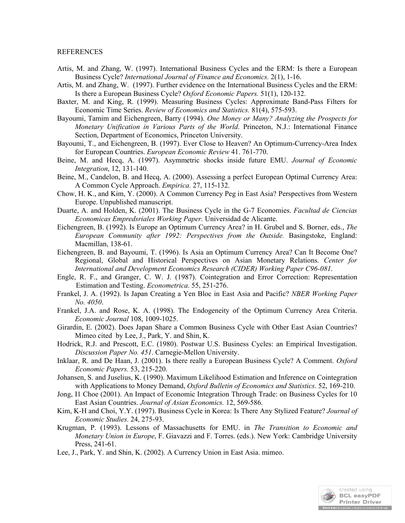#### REFERENCES

- Artis, M. and Zhang, W. (1997). International Business Cycles and the ERM: Is there a European Business Cycle? *International Journal of Finance and Economics.* 2(1), 1-16.
- Artis, M. and Zhang, W. (1997). Further evidence on the International Business Cycles and the ERM: Is there a European Business Cycle? *Oxford Economic Papers.* 51(1), 120-132.
- Baxter, M. and King, R. (1999). Measuring Business Cycles: Approximate Band-Pass Filters for Economic Time Series. *Review of Economics and Statistics.* 81(4), 575-593.
- Bayoumi, Tamim and Eichengreen, Barry (1994). *One Money or Many? Analyzing the Prospects for Monetary Unification in Various Parts of the World*. Princeton, N.J.: International Finance Section, Department of Economics, Princeton University.
- Bayoumi, T., and Eichengreen, B. (1997). Ever Close to Heaven? An Optimum-Currency-Area Index for European Countries. *European Economic Review* 41. 761-770.
- Beine, M. and Hecq, A. (1997). Asymmetric shocks inside future EMU. *Journal of Economic Integration*, 12, 131-140.
- Beine, M., Candelon, B. and Hecq, A. (2000). Assessing a perfect European Optimal Currency Area: A Common Cycle Approach. *Empirica.* 27, 115-132.
- Chow, H. K., and Kim, Y. (2000). A Common Currency Peg in East Asia? Perspectives from Western Europe. Unpublished manuscript.
- Duarte, A. and Holden, K. (2001). The Business Cycle in the G-7 Economies. *Facultad de Ciencias Economicas Empredsriales Working Paper.* Universidad de Alicante.
- Eichengreen, B. (1992). Is Europe an Optimum Currency Area? in H. Grubel and S. Borner, eds., *The European Community after 1992: Perspectives from the Outside.* Basingstoke, England: Macmillan, 138-61.
- Eichengreen, B. and Bayoumi, T. (1996). Is Asia an Optimum Currency Area? Can It Become One? Regional, Global and Historical Perspectives on Asian Monetary Relations. *Center for International and Development Economics Research (CIDER) Working Paper C96-081*.
- Engle, R. F., and Granger, C. W. J. (1987). Cointegration and Error Correction: Representation Estimation and Testing. *Econometrica*. 55, 251-276.
- Frankel, J. A. (1992). Is Japan Creating a Yen Bloc in East Asia and Pacific? *NBER Working Paper No. 4050*.
- Frankel, J.A. and Rose, K. A. (1998). The Endogeneity of the Optimum Currency Area Criteria. *Economic Journal* 108, 1009-1025.
- Girardin, E. (2002). Does Japan Share a Common Business Cycle with Other East Asian Countries? Mimeo cited by Lee, J., Park, Y. and Shin, K.
- Hodrick, R.J. and Prescott, E.C. (1980). Postwar U.S. Business Cycles: an Empirical Investigation. *Discussion Paper No. 451*. Carnegie-Mellon University.
- Inklaar, R. and De Haan, J. (2001). Is there really a European Business Cycle? A Comment. *Oxford Economic Papers.* 53, 215-220.
- Johansen, S. and Juselius, K. (1990). Maximum Likelihood Estimation and Inference on Cointegration with Applications to Money Demand, *Oxford Bulletin of Economics and Statistics*. 52, 169-210.
- Jong, I1 Choe (2001). An Impact of Economic Integration Through Trade: on Business Cycles for 10 East Asian Countries. *Journal of Asian Economics.* 12, 569-586.
- Kim, K-H and Choi, Y.Y. (1997). Business Cycle in Korea: Is There Any Stylized Feature? *Journal of Economic Studies.* 24, 275-93.
- Krugman, P. (1993). Lessons of Massachusetts for EMU. in *The Transition to Economic and Monetary Union in Europe*, F. Giavazzi and F. Torres. (eds.). New York: Cambridge University Press, 241-61.
- Lee, J., Park, Y. and Shin, K. (2002). A Currency Union in East Asia. mimeo.

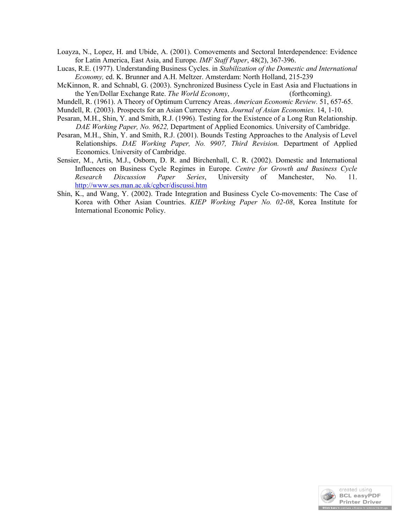- Loayza, N., Lopez, H. and Ubide, A. (2001). Comovements and Sectoral Interdependence: Evidence for Latin America, East Asia, and Europe. *IMF Staff Paper*, 48(2), 367-396.
- Lucas, R.E. (1977). Understanding Business Cycles. in *Stabilization of the Domestic and International Economy,* ed. K. Brunner and A.H. Meltzer. Amsterdam: North Holland, 215-239
- McKinnon, R. and Schnabl, G. (2003). Synchronized Business Cycle in East Asia and Fluctuations in the Yen/Dollar Exchange Rate. *The World Economy*, (forthcoming).
- Mundell, R. (1961). A Theory of Optimum Currency Areas. *American Economic Review.* 51, 657-65.
- Mundell, R. (2003). Prospects for an Asian Currency Area. *Journal of Asian Economies.* 14, 1-10.
- Pesaran, M.H., Shin, Y. and Smith, R.J. (1996). Testing for the Existence of a Long Run Relationship. *DAE Working Paper, No. 9622,* Department of Applied Economics. University of Cambridge.
- Pesaran, M.H., Shin, Y. and Smith, R.J. (2001). Bounds Testing Approaches to the Analysis of Level Relationships. *DAE Working Paper, No. 9907, Third Revision.* Department of Applied Economics. University of Cambridge.
- Sensier, M., Artis, M.J., Osborn, D. R. and Birchenhall, C. R. (2002). Domestic and International Influences on Business Cycle Regimes in Europe. *Centre for Growth and Business Cycle Research Discussion Paper Series*, University of Manchester, No. 11. http://www.ses.man.ac.uk/cgbcr/discussi.htm
- Shin, K., and Wang, Y. (2002). Trade Integration and Business Cycle Co-movements: The Case of Korea with Other Asian Countries. *KIEP Working Paper No. 02-08*, Korea Institute for International Economic Policy.

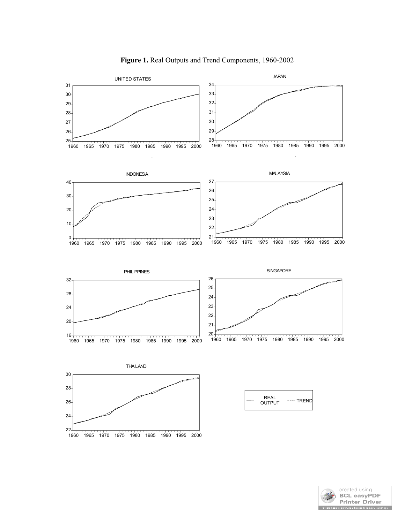

**Figure 1.** Real Outputs and Trend Components, 1960-2002

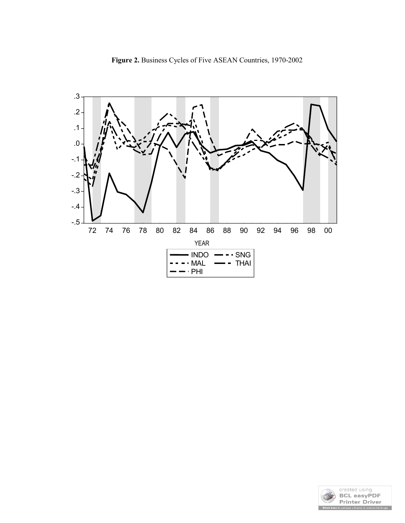

**Figure 2.** Business Cycles of Five ASEAN Countries, 1970-2002

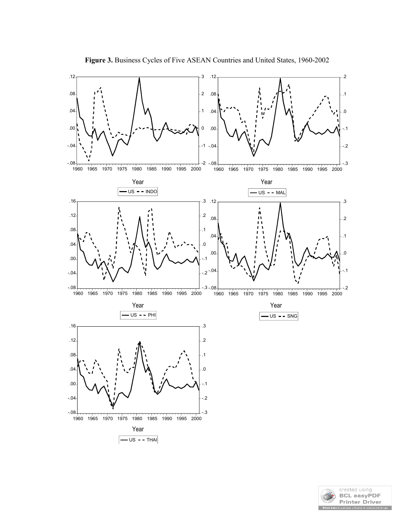

**Figure 3.** Business Cycles of Five ASEAN Countries and United States, 1960-2002

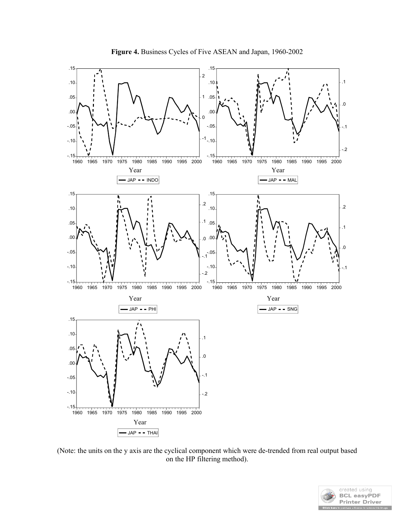

(Note: the units on the y axis are the cyclical component which were de-trended from real output based on the HP filtering method).

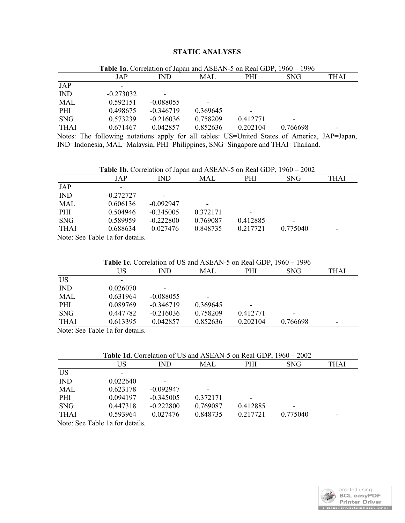# **STATIC ANALYSES**

|             | Table 1a. Correlation of Japan and ASEAN-5 on Real GDP, 1960 – 1996 |                          |            |            |            |      |  |  |
|-------------|---------------------------------------------------------------------|--------------------------|------------|------------|------------|------|--|--|
|             | JAP                                                                 | IND.                     | <b>MAL</b> | <b>PHI</b> | <b>SNG</b> | THAI |  |  |
| JAP         |                                                                     |                          |            |            |            |      |  |  |
| <b>IND</b>  | $-0.273032$                                                         | $\overline{\phantom{0}}$ |            |            |            |      |  |  |
| MAL         | 0.592151                                                            | $-0.088055$              |            |            |            |      |  |  |
| PHI         | 0.498675                                                            | $-0.346719$              | 0.369645   |            |            |      |  |  |
| <b>SNG</b>  | 0.573239                                                            | $-0.216036$              | 0.758209   | 0.412771   |            |      |  |  |
| <b>THAI</b> | 0.671467                                                            | 0.042857                 | 0.852636   | 0.202104   | 0.766698   | ۰    |  |  |

Notes: The following notations apply for all tables: US=United States of America, JAP=Japan, IND=Indonesia, MAL=Malaysia, PHI=Philippines, SNG=Singapore and THAI=Thailand.

| <b>Table 1b.</b> Correlation of Japan and ASEAN-5 on Real GDP, 1960 – 2002 |             |             |            |            |          |      |
|----------------------------------------------------------------------------|-------------|-------------|------------|------------|----------|------|
|                                                                            | JAP         | IND         | <b>MAL</b> | <b>PHI</b> | SNG.     | THAI |
| JAP                                                                        |             |             |            |            |          |      |
| <b>IND</b>                                                                 | $-0.272727$ | -           |            |            |          |      |
| MAL                                                                        | 0.606136    | $-0.092947$ | -          |            |          |      |
| PHI                                                                        | 0.504946    | $-0.345005$ | 0.372171   |            |          |      |
| <b>SNG</b>                                                                 | 0.589959    | $-0.222800$ | 0.769087   | 0.412885   |          |      |
| <b>THAI</b>                                                                | 0.688634    | 0.027476    | 0.848735   | 0.217721   | 0.775040 |      |

Note: See Table 1a for details.

|  |  |  |  |  | <b>Table 1c.</b> Correlation of US and ASEAN-5 on Real GDP, 1960 – 1996 |
|--|--|--|--|--|-------------------------------------------------------------------------|
|--|--|--|--|--|-------------------------------------------------------------------------|

|             | US       | IND                      | MAL                      | PHI      | <b>SNG</b> | <b>THAI</b>              |
|-------------|----------|--------------------------|--------------------------|----------|------------|--------------------------|
| <b>US</b>   |          |                          |                          |          |            |                          |
| <b>IND</b>  | 0.026070 | $\overline{\phantom{0}}$ |                          |          |            |                          |
| <b>MAL</b>  | 0.631964 | $-0.088055$              | $\overline{\phantom{0}}$ |          |            |                          |
| PHI         | 0.089769 | $-0.346719$              | 0.369645                 |          |            |                          |
| <b>SNG</b>  | 0.447782 | $-0.216036$              | 0.758209                 | 0.412771 | -          |                          |
| <b>THAI</b> | 0.613395 | 0.042857                 | 0.852636                 | 0.202104 | 0.766698   | $\overline{\phantom{a}}$ |

Note: See Table 1a for details.

|             | <b>Table 1d.</b> Correlation of US and ASEAN-5 on Real GDP, 1960 – 2002 |             |          |          |            |      |  |  |
|-------------|-------------------------------------------------------------------------|-------------|----------|----------|------------|------|--|--|
|             | US                                                                      | IND         | MAL      | PHI      | <b>SNG</b> | THAI |  |  |
| <b>US</b>   |                                                                         |             |          |          |            |      |  |  |
| <b>IND</b>  | 0.022640                                                                | ۰           |          |          |            |      |  |  |
| MAL         | 0.623178                                                                | $-0.092947$ |          |          |            |      |  |  |
| PHI         | 0.094197                                                                | $-0.345005$ | 0.372171 |          |            |      |  |  |
| <b>SNG</b>  | 0.447318                                                                | $-0.222800$ | 0.769087 | 0.412885 | -          |      |  |  |
| <b>THAI</b> | 0.593964                                                                | 0.027476    | 0.848735 | 0.217721 | 0.775040   | -    |  |  |

Note: See Table 1a for details.

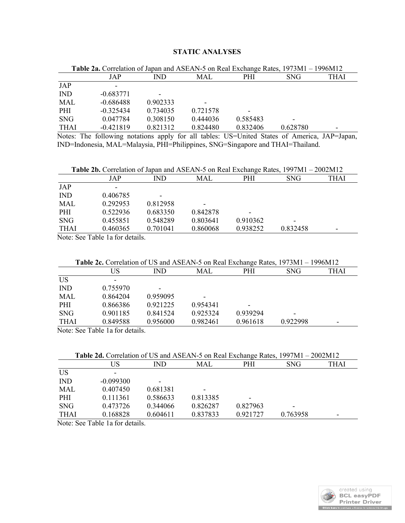# **STATIC ANALYSES**

| <b>Table 2a.</b> Correlation of Japan and ASEAN-5 on Real Exchange Rates, 1973M1 – 1996M12 |             |                          |          |          |            |      |  |  |
|--------------------------------------------------------------------------------------------|-------------|--------------------------|----------|----------|------------|------|--|--|
|                                                                                            | JAP         | IND.                     | MAL      | PHI      | <b>SNG</b> | THAI |  |  |
| JAP                                                                                        | ٠           |                          |          |          |            |      |  |  |
| <b>IND</b>                                                                                 | $-0.683771$ | $\overline{\phantom{0}}$ |          |          |            |      |  |  |
| <b>MAL</b>                                                                                 | $-0.686488$ | 0.902333                 |          |          |            |      |  |  |
| PHI                                                                                        | $-0.325434$ | 0.734035                 | 0.721578 |          |            |      |  |  |
| <b>SNG</b>                                                                                 | 0.047784    | 0.308150                 | 0.444036 | 0.585483 |            |      |  |  |
| <b>THAI</b>                                                                                | $-0.421819$ | 0.821312                 | 0.824480 | 0.832406 | 0.628780   | -    |  |  |

Notes: The following notations apply for all tables: US=United States of America, JAP=Japan, IND=Indonesia, MAL=Malaysia, PHI=Philippines, SNG=Singapore and THAI=Thailand.

| <b>Table 2b.</b> Correlation of Japan and ASEAN-5 on Real Exchange Rates, 1997M1 – 2002M12 |
|--------------------------------------------------------------------------------------------|
|--------------------------------------------------------------------------------------------|

|             | JAP                                                             | IND      | MAL                      | PHI      | <b>SNG</b> | <b>THAI</b>              |
|-------------|-----------------------------------------------------------------|----------|--------------------------|----------|------------|--------------------------|
| JAP         | $\overline{\phantom{0}}$                                        |          |                          |          |            |                          |
| <b>IND</b>  | 0.406785                                                        | -        |                          |          |            |                          |
| <b>MAL</b>  | 0.292953                                                        | 0.812958 | $\overline{\phantom{0}}$ |          |            |                          |
| PHI         | 0.522936                                                        | 0.683350 | 0.842878                 | -        |            |                          |
| <b>SNG</b>  | 0.455851                                                        | 0.548289 | 0.803641                 | 0.910362 | -          |                          |
| <b>THAI</b> | 0.460365                                                        | 0.701041 | 0.860068                 | 0.938252 | 0.832458   | $\overline{\phantom{a}}$ |
|             | $\mathbf{M}$ and $\mathbf{M}$ and $\mathbf{M}$ and $\mathbf{M}$ |          |                          |          |            |                          |

Note: See Table 1a for details.

| <b>Table 2c.</b> Correlation of US and ASEAN-5 on Real Exchange Rates, 1973M1 – 1996M12 |  |          |                          |          |          |            |      |  |
|-----------------------------------------------------------------------------------------|--|----------|--------------------------|----------|----------|------------|------|--|
|                                                                                         |  | US       | IND.                     | MAL      | PHI      | <b>SNG</b> | THAI |  |
| <b>US</b>                                                                               |  |          |                          |          |          |            |      |  |
| <b>IND</b>                                                                              |  | 0.755970 | $\overline{\phantom{0}}$ |          |          |            |      |  |
| <b>MAL</b>                                                                              |  | 0.864204 | 0.959095                 | -        |          |            |      |  |
| PHI                                                                                     |  | 0.866386 | 0.921225                 | 0.954341 |          |            |      |  |
| <b>SNG</b>                                                                              |  | 0.901185 | 0.841524                 | 0.925324 | 0.939294 |            |      |  |
| <b>THAI</b>                                                                             |  | 0.849588 | 0.956000                 | 0.982461 | 0.961618 | 0.922998   |      |  |

Note: See Table 1a for details.

| Table 2d. Correlation of US and ASEAN-5 on Real Exchange Rates, 1997M1 - 2002M12 |  |  |
|----------------------------------------------------------------------------------|--|--|
|                                                                                  |  |  |

|             | US          | IND      | MAL      | PHI      | <b>SNG</b> | THAI |
|-------------|-------------|----------|----------|----------|------------|------|
| <b>US</b>   | ۰           |          |          |          |            |      |
| <b>IND</b>  | $-0.099300$ | ٠        |          |          |            |      |
| <b>MAL</b>  | 0.407450    | 0.681381 | ۰        |          |            |      |
| PHI         | 0.111361    | 0.586633 | 0.813385 | -        |            |      |
| <b>SNG</b>  | 0.473726    | 0.344066 | 0.826287 | 0.827963 | -          |      |
| <b>THAI</b> | 0.168828    | 0.604611 | 0.837833 | 0.921727 | 0.763958   | ۰    |

Note: See Table 1a for details.

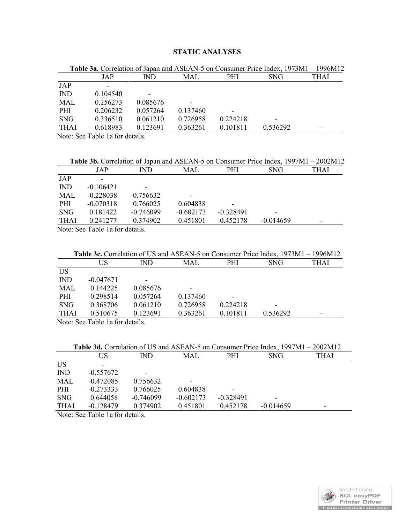# **STATIC ANALYSES**

|             |          |          |            |          | <b>Table 3a.</b> Correlation of Japan and ASEAN-5 on Consumer Price Index, 1973M1 – 1996M12 |      |
|-------------|----------|----------|------------|----------|---------------------------------------------------------------------------------------------|------|
|             | JAP      | IND.     | <b>MAL</b> | PHI      | <b>SNG</b>                                                                                  | THAI |
| JAP         | -        |          |            |          |                                                                                             |      |
| <b>IND</b>  | 0.104540 |          |            |          |                                                                                             |      |
| MAL         | 0.256273 | 0.085676 |            |          |                                                                                             |      |
| <b>PHI</b>  | 0.206232 | 0.057264 | 0.137460   |          |                                                                                             |      |
| <b>SNG</b>  | 0.336510 | 0.061210 | 0.726958   | 0.224218 |                                                                                             |      |
| <b>THAI</b> | 0.618983 | 0.123691 | 0.363261   | 0.101811 | 0.536292                                                                                    | ۰    |

Note: See Table 1a for details.

|              |             | <b>Table 3b.</b> Correlation of Japan and ASEAN-5 on Consumer Price Index, 1997M1 – 2002M12 |             |             |             |                          |
|--------------|-------------|---------------------------------------------------------------------------------------------|-------------|-------------|-------------|--------------------------|
|              | JAP         | IND.                                                                                        | <b>MAL</b>  | <b>PHI</b>  | SNG.        | THAI                     |
| JAP          |             |                                                                                             |             |             |             |                          |
| <b>IND</b>   | $-0.106421$ |                                                                                             |             |             |             |                          |
| MAL          | $-0.228038$ | 0.756632                                                                                    |             |             |             |                          |
| <b>PHI</b>   | $-0.070318$ | 0.766025                                                                                    | 0.604838    | -           |             |                          |
| <b>SNG</b>   | 0.181422    | $-0.746099$                                                                                 | $-0.602173$ | $-0.328491$ |             |                          |
| <b>THAI</b>  | 0.241277    | 0.374902                                                                                    | 0.451801    | 0.452178    | $-0.014659$ | $\overline{\phantom{0}}$ |
| <b>11.</b> a | $T = 11.4$  |                                                                                             |             |             |             |                          |

Note: See Table 1a for details.

| <b>Table 3c.</b> Correlation of US and ASEAN-5 on Consumer Price Index, 1973M1 – 1996M12 |  |  |
|------------------------------------------------------------------------------------------|--|--|
|------------------------------------------------------------------------------------------|--|--|

|              | US                   | IND                      | <b>MAL</b> | PHI      | <b>SNG</b> | THAI |
|--------------|----------------------|--------------------------|------------|----------|------------|------|
| <b>US</b>    | -                    |                          |            |          |            |      |
| <b>IND</b>   | $-0.047671$          | $\overline{\phantom{0}}$ |            |          |            |      |
| MAL          | 0.144225             | 0.085676                 | -          |          |            |      |
| PHI          | 0.298514             | 0.057264                 | 0.137460   |          |            |      |
| <b>SNG</b>   | 0.368706             | 0.061210                 | 0.726958   | 0.224218 | -          |      |
| <b>THAI</b>  | 0.510675             | 0.123691                 | 0.363261   | 0.101811 | 0.536292   | -    |
| $\mathbf{v}$ | $-11$ $-1$ $-1$ $+1$ |                          |            |          |            |      |

Note: See Table 1a for details.

|             | Table 3d. Correlation of US and ASEAN-5 on Consumer Price Index, 1997M1 – 2002M12 |             |             |             |             |      |  |  |  |
|-------------|-----------------------------------------------------------------------------------|-------------|-------------|-------------|-------------|------|--|--|--|
|             | US                                                                                | IND.        | MAL         | PHI.        | <b>SNG</b>  | THAI |  |  |  |
| <b>US</b>   |                                                                                   |             |             |             |             |      |  |  |  |
| <b>IND</b>  | $-0.557672$                                                                       |             |             |             |             |      |  |  |  |
| <b>MAL</b>  | $-0.472085$                                                                       | 0.756632    |             |             |             |      |  |  |  |
| PHI         | $-0.273333$                                                                       | 0.766025    | 0.604838    |             |             |      |  |  |  |
| <b>SNG</b>  | 0.644058                                                                          | $-0.746099$ | $-0.602173$ | $-0.328491$ |             |      |  |  |  |
| <b>THAI</b> | $-0.128479$                                                                       | 0.374902    | 0.451801    | 0.452178    | $-0.014659$ | -    |  |  |  |

Note: See Table 1a for details.

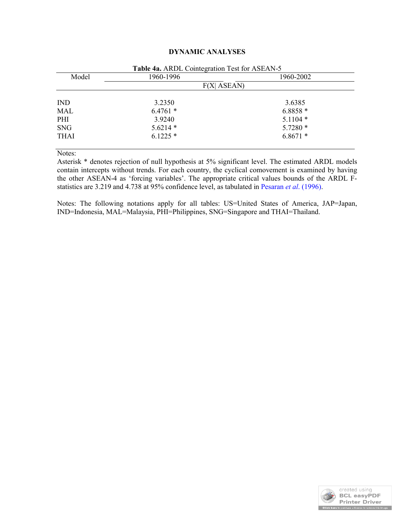# **DYNAMIC ANALYSES**

| Model       | 1960-1996     | 1960-2002 |
|-------------|---------------|-----------|
|             | $F(X $ ASEAN) |           |
| <b>IND</b>  | 3.2350        | 3.6385    |
| <b>MAL</b>  | $6.4761*$     | $6.8858*$ |
| PHI         | 3.9240        | $5.1104*$ |
| <b>SNG</b>  | $5.6214*$     | $5.7280*$ |
| <b>THAI</b> | $6.1225*$     | $6.8671*$ |

Notes:

Asterisk \* denotes rejection of null hypothesis at 5% significant level. The estimated ARDL models contain intercepts without trends. For each country, the cyclical comovement is examined by having the other ASEAN-4 as 'forcing variables'. The appropriate critical values bounds of the ARDL Fstatistics are 3.219 and 4.738 at 95% confidence level, as tabulated in Pesaran *et al*. (1996).

Notes: The following notations apply for all tables: US=United States of America, JAP=Japan, IND=Indonesia, MAL=Malaysia, PHI=Philippines, SNG=Singapore and THAI=Thailand.

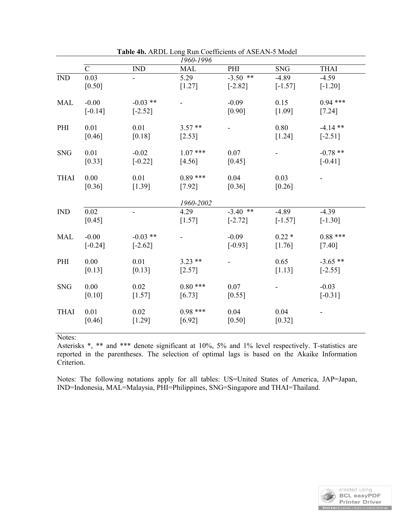|             | 1960-1996            |                         |                       |                         |                      |                         |  |
|-------------|----------------------|-------------------------|-----------------------|-------------------------|----------------------|-------------------------|--|
|             | $\mathcal{C}$        | <b>IND</b>              | <b>MAL</b>            | PHI                     | <b>SNG</b>           | <b>THAI</b>             |  |
| <b>IND</b>  | 0.03<br>$[0.50]$     |                         | 5.29<br>$[1.27]$      | $-3.50$ **<br>$[-2.82]$ | $-4.89$<br>$[-1.57]$ | $-4.59$<br>$[-1.20]$    |  |
| <b>MAL</b>  | $-0.00$<br>$[-0.14]$ | $-0.03$ **<br>$[-2.52]$ |                       | $-0.09$<br>$[0.90]$     | 0.15<br>[1.09]       | $0.94$ ***<br>[7.24]    |  |
| PHI         | 0.01<br>[0.46]       | 0.01<br>[0.18]          | $3.57**$<br>$[2.53]$  |                         | 0.80<br>[1.24]       | $-4.14$ **<br>$[-2.51]$ |  |
| <b>SNG</b>  | 0.01<br>[0.33]       | $-0.02$<br>$[-0.22]$    | $1.07$ ***<br>[4.56]  | 0.07<br>[0.45]          |                      | $-0.78**$<br>$[-0.41]$  |  |
| <b>THAI</b> | 0.00<br>[0.36]       | 0.01<br>[1.39]          | $0.89***$<br>$[7.92]$ | 0.04<br>[0.36]          | 0.03<br>[0.26]       |                         |  |
|             |                      |                         | 1960-2002             |                         |                      |                         |  |
| <b>IND</b>  | 0.02<br>[0.45]       |                         | 4.29<br>$[1.57]$      | $-3.40$ **<br>$[-2.72]$ | $-4.89$<br>$[-1.57]$ | $-4.39$<br>$[-1.30]$    |  |
| <b>MAL</b>  | $-0.00$<br>$[-0.24]$ | $-0.03$ **<br>$[-2.62]$ |                       | $-0.09$<br>$[-0.93]$    | $0.22*$<br>[1.76]    | $0.88***$<br>[7.40]     |  |
| PHI         | 0.00<br>[0.13]       | 0.01<br>[0.13]          | $3.23**$<br>[2.57]    |                         | 0.65<br>[1.13]       | $-3.65$ **<br>$[-2.55]$ |  |
| <b>SNG</b>  | 0.00<br>[0.10]       | 0.02<br>[1.57]          | $0.80$ ***<br>[6.73]  | 0.07<br>[0.55]          |                      | $-0.03$<br>$[-0.31]$    |  |
| <b>THAI</b> | 0.01<br>[0.46]       | 0.02<br>[1.29]          | $0.98***$<br>[6.92]   | 0.04<br>[0.50]          | 0.04<br>[0.32]       |                         |  |

**Table 4b.** ARDL Long Run Coefficients of ASEAN-5 Model

Notes:

Asterisks \*, \*\* and \*\*\* denote significant at 10%, 5% and 1% level respectively. T-statistics are reported in the parentheses. The selection of optimal lags is based on the Akaike Information Criterion.

Notes: The following notations apply for all tables: US=United States of America, JAP=Japan, IND=Indonesia, MAL=Malaysia, PHI=Philippines, SNG=Singapore and THAI=Thailand.

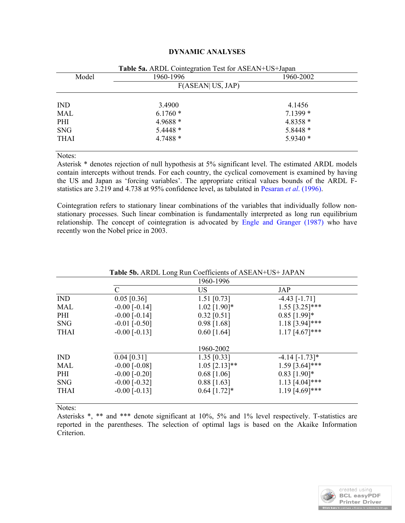| Model       | 1960-1996        | 1960-2002 |
|-------------|------------------|-----------|
|             | F(ASEAN US, JAP) |           |
| <b>IND</b>  | 3.4900           | 4.1456    |
| <b>MAL</b>  | $6.1760*$        | $7.1399*$ |
| PHI         | $4.9688*$        | 4.8358 *  |
| <b>SNG</b>  | $5.4448*$        | 5.8448 *  |
| <b>THAI</b> | $4.7488*$        | $5.9340*$ |

Notes:

Asterisk \* denotes rejection of null hypothesis at 5% significant level. The estimated ARDL models contain intercepts without trends. For each country, the cyclical comovement is examined by having the US and Japan as 'forcing variables'. The appropriate critical values bounds of the ARDL Fstatistics are 3.219 and 4.738 at 95% confidence level, as tabulated in Pesaran *et al*. (1996).

Cointegration refers to stationary linear combinations of the variables that individually follow nonstationary processes. Such linear combination is fundamentally interpreted as long run equilibrium relationship. The concept of cointegration is advocated by Engle and Granger (1987) who have recently won the Nobel price in 2003.

|             |                     | 1960-1996       |                                |
|-------------|---------------------|-----------------|--------------------------------|
|             | $\mathcal{C}$       | <b>US</b>       | JAP                            |
| <b>IND</b>  | $0.05$ [0.36]       | 1.51 $[0.73]$   | $-4.43$ [ $-1.71$ ]            |
| MAL         | $-0.00$ [ $-0.14$ ] | $1.02$ [1.90]*  | $1.55$ [3.25]***               |
| PHI         | $-0.00$ [ $-0.14$ ] | $0.32$ [0.51]   | $0.85$ [1.99]*                 |
| <b>SNG</b>  | $-0.01$ [ $-0.50$ ] | $0.98$ [1.68]   | $1.18$ [3.94]***               |
| <b>THAI</b> | $-0.00$ [ $-0.13$ ] | $0.60$ [1.64]   | $1.17$ [4.67]***               |
|             |                     | 1960-2002       |                                |
| <b>IND</b>  | $0.04$ [0.31]       | $1.35$ [0.33]   | $-4.14$ $[-1.73]$ <sup>*</sup> |
| MAL         | $-0.00$ [ $-0.08$ ] | $1.05$ [2.13]** | $1.59$ [3.64]***               |
| PHI         | $-0.00$ [ $-0.20$ ] | $0.68$ [1.06]   | $0.83$ [1.90]*                 |
| <b>SNG</b>  | $-0.00$ [ $-0.32$ ] | $0.88$ [1.63]   | $1.13$ [4.04]***               |
| <b>THAI</b> | $-0.00$ [ $-0.13$ ] | $0.64$ [1.72]*  | $1.19$ [4.69]***               |

# **Table 5b.** ARDL Long Run Coefficients of ASEAN+US+ JAPAN

Notes:

Asterisks \*, \*\* and \*\*\* denote significant at 10%, 5% and 1% level respectively. T-statistics are reported in the parentheses. The selection of optimal lags is based on the Akaike Information Criterion.